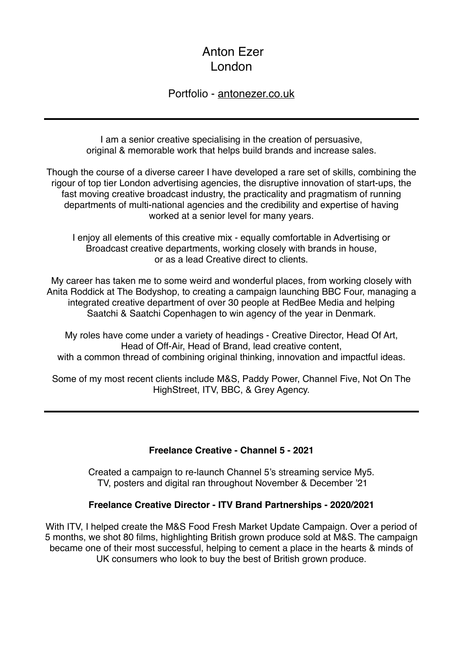# Anton Ezer London

#### Portfolio - [antonezer.co.uk](http://antonezer.co.uk)

I am a senior creative specialising in the creation of persuasive, original & memorable work that helps build brands and increase sales.

Though the course of a diverse career I have developed a rare set of skills, combining the rigour of top tier London advertising agencies, the disruptive innovation of start-ups, the fast moving creative broadcast industry, the practicality and pragmatism of running departments of multi-national agencies and the credibility and expertise of having worked at a senior level for many years.

I enjoy all elements of this creative mix - equally comfortable in Advertising or Broadcast creative departments, working closely with brands in house, or as a lead Creative direct to clients.

My career has taken me to some weird and wonderful places, from working closely with Anita Roddick at The Bodyshop, to creating a campaign launching BBC Four, managing a integrated creative department of over 30 people at RedBee Media and helping Saatchi & Saatchi Copenhagen to win agency of the year in Denmark.

My roles have come under a variety of headings - Creative Director, Head Of Art, Head of Off-Air, Head of Brand, lead creative content, with a common thread of combining original thinking, innovation and impactful ideas.

Some of my most recent clients include M&S, Paddy Power, Channel Five, Not On The HighStreet, ITV, BBC, & Grey Agency.

#### **Freelance Creative - Channel 5 - 2021**

Created a campaign to re-launch Channel 5's streaming service My5. TV, posters and digital ran throughout November & December '21

#### **Freelance Creative Director - ITV Brand Partnerships - 2020/2021**

With ITV, I helped create the M&S Food Fresh Market Update Campaign. Over a period of 5 months, we shot 80 films, highlighting British grown produce sold at M&S. The campaign became one of their most successful, helping to cement a place in the hearts & minds of UK consumers who look to buy the best of British grown produce.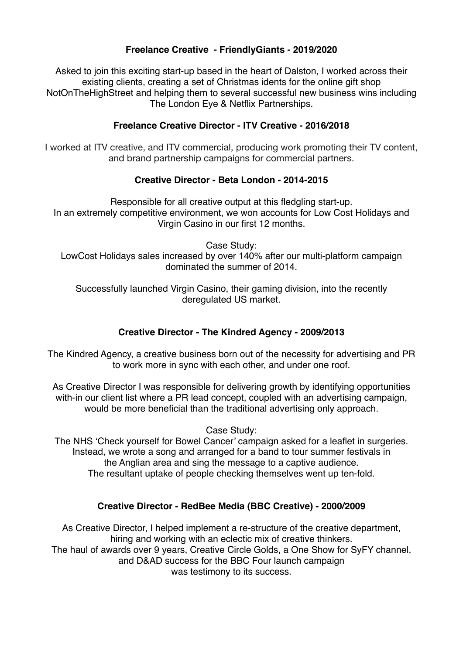#### **Freelance Creative - FriendlyGiants - 2019/2020**

Asked to join this exciting start-up based in the heart of Dalston, I worked across their existing clients, creating a set of Christmas idents for the online gift shop NotOnTheHighStreet and helping them to several successful new business wins including The London Eye & Netflix Partnerships.

#### **Freelance Creative Director - ITV Creative - 2016/2018**

I worked at ITV creative, and ITV commercial, producing work promoting their TV content, and brand partnership campaigns for commercial partners.

#### **Creative Director - Beta London - 2014-2015**

Responsible for all creative output at this fledgling start-up. In an extremely competitive environment, we won accounts for Low Cost Holidays and Virgin Casino in our first 12 months.

Case Study:

LowCost Holidays sales increased by over 140% after our multi-platform campaign dominated the summer of 2014.

Successfully launched Virgin Casino, their gaming division, into the recently deregulated US market.

## **Creative Director - The Kindred Agency - 2009/2013**

The Kindred Agency, a creative business born out of the necessity for advertising and PR to work more in sync with each other, and under one roof.

As Creative Director I was responsible for delivering growth by identifying opportunities with-in our client list where a PR lead concept, coupled with an advertising campaign, would be more beneficial than the traditional advertising only approach.

Case Study:

The NHS 'Check yourself for Bowel Cancer' campaign asked for a leaflet in surgeries. Instead, we wrote a song and arranged for a band to tour summer festivals in the Anglian area and sing the message to a captive audience. The resultant uptake of people checking themselves went up ten-fold.

#### **Creative Director - RedBee Media (BBC Creative) - 2000/2009**

As Creative Director, I helped implement a re-structure of the creative department, hiring and working with an eclectic mix of creative thinkers. The haul of awards over 9 years, Creative Circle Golds, a One Show for SyFY channel, and D&AD success for the BBC Four launch campaign was testimony to its success.